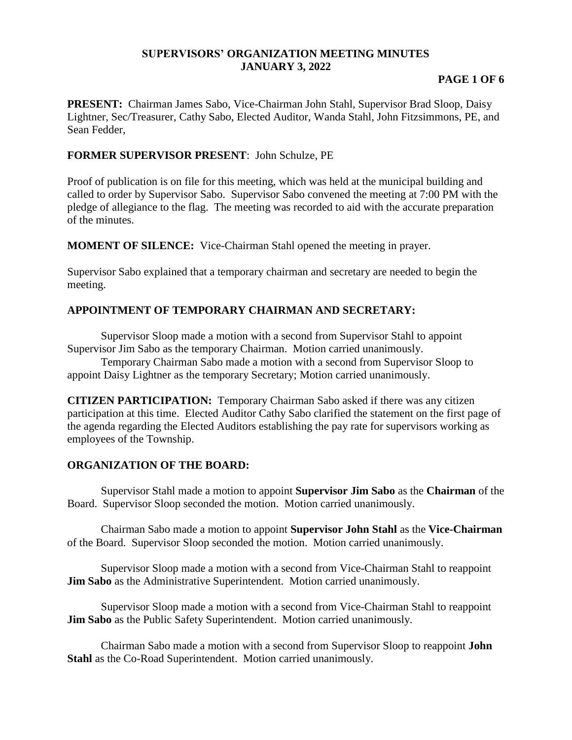#### **SUPERVISORS' ORGANIZATION MEETING MINUTES JANUARY 3, 2022**

#### **PAGE 1 OF 6**

**PRESENT:** Chairman James Sabo, Vice-Chairman John Stahl, Supervisor Brad Sloop, Daisy Lightner, Sec/Treasurer, Cathy Sabo, Elected Auditor, Wanda Stahl, John Fitzsimmons, PE, and Sean Fedder,

#### **FORMER SUPERVISOR PRESENT**: John Schulze, PE

Proof of publication is on file for this meeting, which was held at the municipal building and called to order by Supervisor Sabo. Supervisor Sabo convened the meeting at 7:00 PM with the pledge of allegiance to the flag. The meeting was recorded to aid with the accurate preparation of the minutes.

**MOMENT OF SILENCE:** Vice-Chairman Stahl opened the meeting in prayer.

Supervisor Sabo explained that a temporary chairman and secretary are needed to begin the meeting.

### **APPOINTMENT OF TEMPORARY CHAIRMAN AND SECRETARY:**

Supervisor Sloop made a motion with a second from Supervisor Stahl to appoint Supervisor Jim Sabo as the temporary Chairman. Motion carried unanimously.

Temporary Chairman Sabo made a motion with a second from Supervisor Sloop to appoint Daisy Lightner as the temporary Secretary; Motion carried unanimously.

**CITIZEN PARTICIPATION:** Temporary Chairman Sabo asked if there was any citizen participation at this time. Elected Auditor Cathy Sabo clarified the statement on the first page of the agenda regarding the Elected Auditors establishing the pay rate for supervisors working as employees of the Township.

#### **ORGANIZATION OF THE BOARD:**

Supervisor Stahl made a motion to appoint **Supervisor Jim Sabo** as the **Chairman** of the Board. Supervisor Sloop seconded the motion. Motion carried unanimously.

Chairman Sabo made a motion to appoint **Supervisor John Stahl** as the **Vice-Chairman** of the Board. Supervisor Sloop seconded the motion. Motion carried unanimously.

Supervisor Sloop made a motion with a second from Vice-Chairman Stahl to reappoint **Jim Sabo** as the Administrative Superintendent. Motion carried unanimously.

Supervisor Sloop made a motion with a second from Vice-Chairman Stahl to reappoint **Jim Sabo** as the Public Safety Superintendent. Motion carried unanimously.

Chairman Sabo made a motion with a second from Supervisor Sloop to reappoint **John Stahl** as the Co-Road Superintendent. Motion carried unanimously.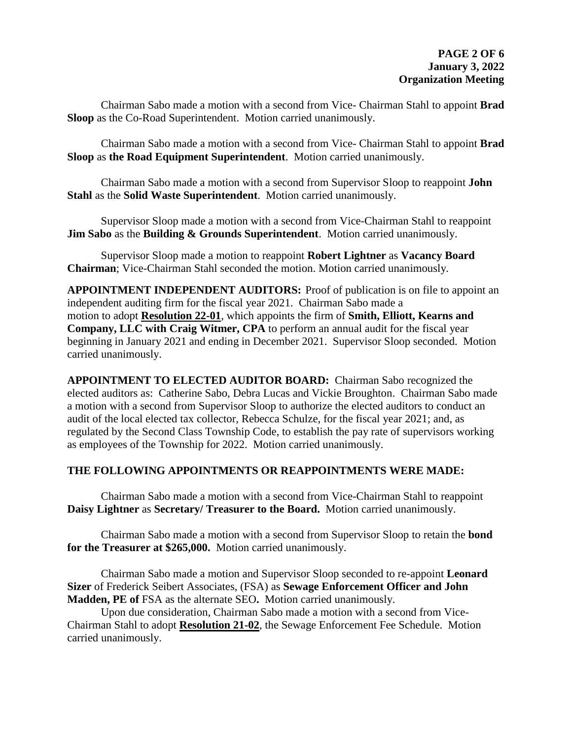Chairman Sabo made a motion with a second from Vice- Chairman Stahl to appoint **Brad Sloop** as the Co-Road Superintendent. Motion carried unanimously.

Chairman Sabo made a motion with a second from Vice- Chairman Stahl to appoint **Brad Sloop** as **the Road Equipment Superintendent**. Motion carried unanimously.

Chairman Sabo made a motion with a second from Supervisor Sloop to reappoint **John Stahl** as the **Solid Waste Superintendent**. Motion carried unanimously.

Supervisor Sloop made a motion with a second from Vice-Chairman Stahl to reappoint **Jim Sabo** as the **Building & Grounds Superintendent**. Motion carried unanimously.

Supervisor Sloop made a motion to reappoint **Robert Lightner** as **Vacancy Board Chairman**; Vice-Chairman Stahl seconded the motion. Motion carried unanimously.

**APPOINTMENT INDEPENDENT AUDITORS:** Proof of publication is on file to appoint an independent auditing firm for the fiscal year 2021. Chairman Sabo made a motion to adopt **Resolution 22-01**, which appoints the firm of **Smith, Elliott, Kearns and Company, LLC with Craig Witmer, CPA** to perform an annual audit for the fiscal year beginning in January 2021 and ending in December 2021. Supervisor Sloop seconded. Motion carried unanimously.

**APPOINTMENT TO ELECTED AUDITOR BOARD:** Chairman Sabo recognized the elected auditors as: Catherine Sabo, Debra Lucas and Vickie Broughton. Chairman Sabo made a motion with a second from Supervisor Sloop to authorize the elected auditors to conduct an audit of the local elected tax collector, Rebecca Schulze, for the fiscal year 2021; and, as regulated by the Second Class Township Code, to establish the pay rate of supervisors working as employees of the Township for 2022. Motion carried unanimously.

### **THE FOLLOWING APPOINTMENTS OR REAPPOINTMENTS WERE MADE:**

Chairman Sabo made a motion with a second from Vice-Chairman Stahl to reappoint **Daisy Lightner** as **Secretary/ Treasurer to the Board.** Motion carried unanimously.

Chairman Sabo made a motion with a second from Supervisor Sloop to retain the **bond for the Treasurer at \$265,000.** Motion carried unanimously.

Chairman Sabo made a motion and Supervisor Sloop seconded to re-appoint **Leonard Sizer** of Frederick Seibert Associates, (FSA) as **Sewage Enforcement Officer and John Madden, PE of** FSA as the alternate SEO**.** Motion carried unanimously.

Upon due consideration, Chairman Sabo made a motion with a second from Vice-Chairman Stahl to adopt **Resolution 21-02**, the Sewage Enforcement Fee Schedule. Motion carried unanimously.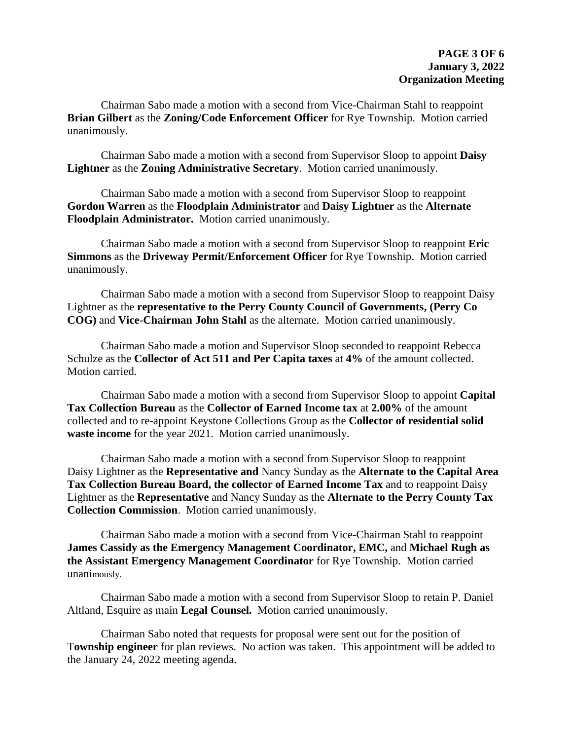Chairman Sabo made a motion with a second from Vice-Chairman Stahl to reappoint **Brian Gilbert** as the **Zoning/Code Enforcement Officer** for Rye Township. Motion carried unanimously.

Chairman Sabo made a motion with a second from Supervisor Sloop to appoint **Daisy Lightner** as the **Zoning Administrative Secretary**. Motion carried unanimously.

Chairman Sabo made a motion with a second from Supervisor Sloop to reappoint **Gordon Warren** as the **Floodplain Administrator** and **Daisy Lightner** as the **Alternate Floodplain Administrator.** Motion carried unanimously.

Chairman Sabo made a motion with a second from Supervisor Sloop to reappoint **Eric Simmons** as the **Driveway Permit/Enforcement Officer** for Rye Township. Motion carried unanimously.

Chairman Sabo made a motion with a second from Supervisor Sloop to reappoint Daisy Lightner as the **representative to the Perry County Council of Governments, (Perry Co COG)** and **Vice-Chairman John Stahl** as the alternate. Motion carried unanimously.

Chairman Sabo made a motion and Supervisor Sloop seconded to reappoint Rebecca Schulze as the **Collector of Act 511 and Per Capita taxes** at **4%** of the amount collected. Motion carried.

Chairman Sabo made a motion with a second from Supervisor Sloop to appoint **Capital Tax Collection Bureau** as the **Collector of Earned Income tax** at **2.00%** of the amount collected and to re-appoint Keystone Collections Group as the **Collector of residential solid waste income** for the year 2021. Motion carried unanimously.

Chairman Sabo made a motion with a second from Supervisor Sloop to reappoint Daisy Lightner as the **Representative and** Nancy Sunday as the **Alternate to the Capital Area Tax Collection Bureau Board, the collector of Earned Income Tax** and to reappoint Daisy Lightner as the **Representative** and Nancy Sunday as the **Alternate to the Perry County Tax Collection Commission**. Motion carried unanimously.

Chairman Sabo made a motion with a second from Vice-Chairman Stahl to reappoint **James Cassidy as the Emergency Management Coordinator, EMC,** and **Michael Rugh as the Assistant Emergency Management Coordinator** for Rye Township. Motion carried unanimously.

Chairman Sabo made a motion with a second from Supervisor Sloop to retain P. Daniel Altland, Esquire as main **Legal Counsel.** Motion carried unanimously.

Chairman Sabo noted that requests for proposal were sent out for the position of T**ownship engineer** for plan reviews. No action was taken. This appointment will be added to the January 24, 2022 meeting agenda.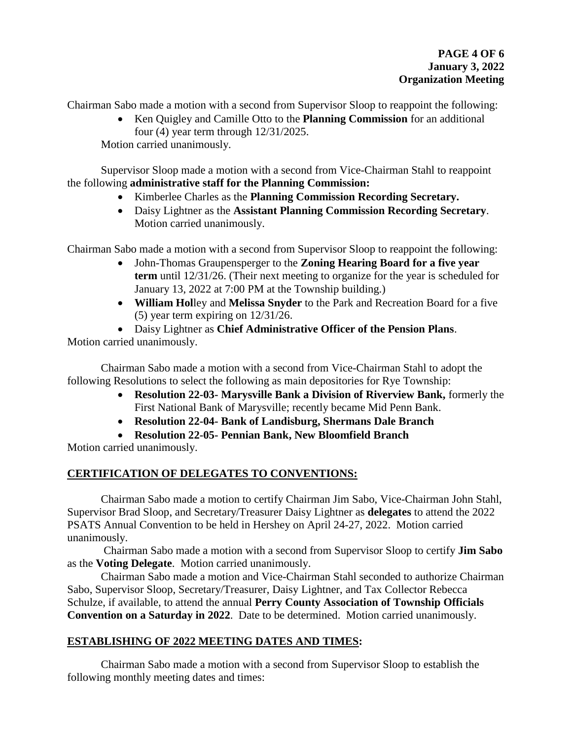Chairman Sabo made a motion with a second from Supervisor Sloop to reappoint the following:

 Ken Quigley and Camille Otto to the **Planning Commission** for an additional four (4) year term through 12/31/2025.

Motion carried unanimously.

Supervisor Sloop made a motion with a second from Vice-Chairman Stahl to reappoint the following **administrative staff for the Planning Commission:**

- Kimberlee Charles as the **Planning Commission Recording Secretary.**
- Daisy Lightner as the **Assistant Planning Commission Recording Secretary**. Motion carried unanimously.

Chairman Sabo made a motion with a second from Supervisor Sloop to reappoint the following:

- John-Thomas Graupensperger to the **Zoning Hearing Board for a five year term** until 12/31/26. (Their next meeting to organize for the year is scheduled for January 13, 2022 at 7:00 PM at the Township building.)
- **William Hol**ley and **Melissa Snyder** to the Park and Recreation Board for a five (5) year term expiring on 12/31/26.
- Daisy Lightner as **Chief Administrative Officer of the Pension Plans**.

Motion carried unanimously.

Chairman Sabo made a motion with a second from Vice-Chairman Stahl to adopt the following Resolutions to select the following as main depositories for Rye Township:

- **Resolution 22-03- Marysville Bank a Division of Riverview Bank,** formerly the First National Bank of Marysville; recently became Mid Penn Bank.
- **Resolution 22-04- Bank of Landisburg, Shermans Dale Branch**
- **Resolution 22-05- Pennian Bank, New Bloomfield Branch**

Motion carried unanimously.

## **CERTIFICATION OF DELEGATES TO CONVENTIONS:**

Chairman Sabo made a motion to certify Chairman Jim Sabo, Vice-Chairman John Stahl, Supervisor Brad Sloop, and Secretary/Treasurer Daisy Lightner as **delegates** to attend the 2022 PSATS Annual Convention to be held in Hershey on April 24-27, 2022. Motion carried unanimously.

Chairman Sabo made a motion with a second from Supervisor Sloop to certify **Jim Sabo** as the **Voting Delegate**. Motion carried unanimously.

Chairman Sabo made a motion and Vice-Chairman Stahl seconded to authorize Chairman Sabo, Supervisor Sloop, Secretary/Treasurer, Daisy Lightner, and Tax Collector Rebecca Schulze, if available, to attend the annual **Perry County Association of Township Officials Convention on a Saturday in 2022**. Date to be determined.Motion carried unanimously.

## **ESTABLISHING OF 2022 MEETING DATES AND TIMES:**

Chairman Sabo made a motion with a second from Supervisor Sloop to establish the following monthly meeting dates and times: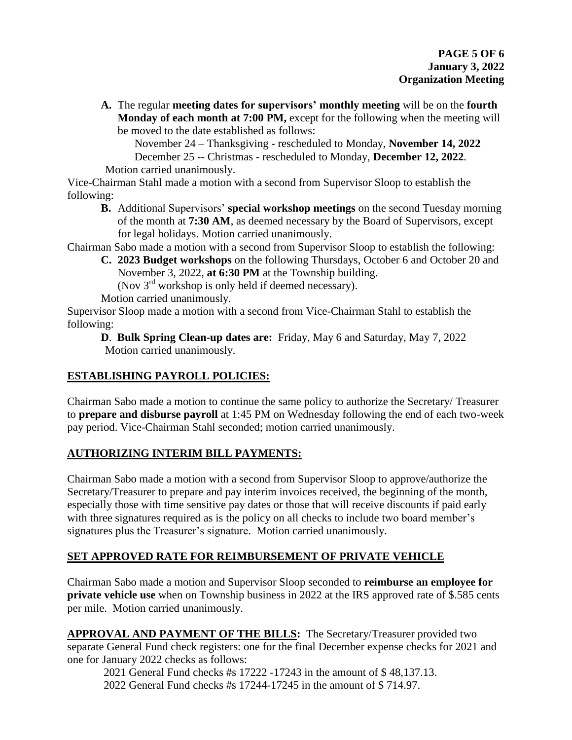**A.** The regular **meeting dates for supervisors' monthly meeting** will be on the **fourth Monday of each month at 7:00 PM,** except for the following when the meeting will be moved to the date established as follows:

November 24 – Thanksgiving - rescheduled to Monday, **November 14, 2022** December 25 -- Christmas - rescheduled to Monday, **December 12, 2022**. Motion carried unanimously.

Vice-Chairman Stahl made a motion with a second from Supervisor Sloop to establish the following:

**B.** Additional Supervisors' **special workshop meetings** on the second Tuesday morning of the month at **7:30 AM**, as deemed necessary by the Board of Supervisors, except for legal holidays. Motion carried unanimously.

Chairman Sabo made a motion with a second from Supervisor Sloop to establish the following:

**C. 2023 Budget workshops** on the following Thursdays, October 6 and October 20 and November 3, 2022, **at 6:30 PM** at the Township building.

(Nov 3<sup>rd</sup> workshop is only held if deemed necessary).

Motion carried unanimously.

Supervisor Sloop made a motion with a second from Vice-Chairman Stahl to establish the following:

**D**. **Bulk Spring Clean-up dates are:** Friday, May 6 and Saturday, May 7, 2022 Motion carried unanimously.

# **ESTABLISHING PAYROLL POLICIES:**

Chairman Sabo made a motion to continue the same policy to authorize the Secretary/ Treasurer to **prepare and disburse payroll** at 1:45 PM on Wednesday following the end of each two-week pay period. Vice-Chairman Stahl seconded; motion carried unanimously.

## **AUTHORIZING INTERIM BILL PAYMENTS:**

Chairman Sabo made a motion with a second from Supervisor Sloop to approve/authorize the Secretary/Treasurer to prepare and pay interim invoices received, the beginning of the month, especially those with time sensitive pay dates or those that will receive discounts if paid early with three signatures required as is the policy on all checks to include two board member's signatures plus the Treasurer's signature. Motion carried unanimously.

# **SET APPROVED RATE FOR REIMBURSEMENT OF PRIVATE VEHICLE**

Chairman Sabo made a motion and Supervisor Sloop seconded to **reimburse an employee for private vehicle use** when on Township business in 2022 at the IRS approved rate of \$.585 cents per mile. Motion carried unanimously.

**APPROVAL AND PAYMENT OF THE BILLS:** The Secretary/Treasurer provided two separate General Fund check registers: one for the final December expense checks for 2021 and one for January 2022 checks as follows:

2021 General Fund checks #s 17222 -17243 in the amount of \$ 48,137.13. 2022 General Fund checks #s 17244-17245 in the amount of \$ 714.97.